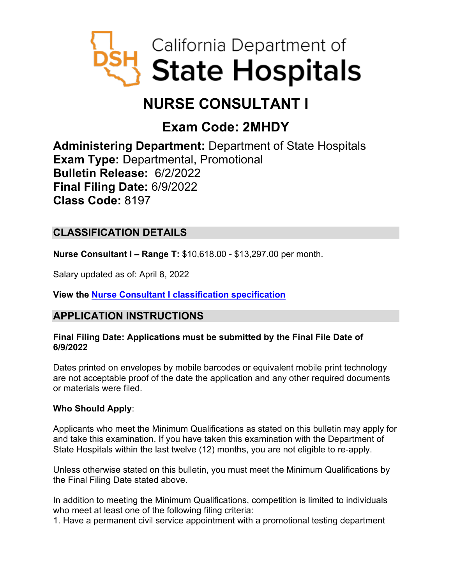

# **NURSE CONSULTANT I**

## **Exam Code: 2MHDY**

**Administering Department:** Department of State Hospitals **Exam Type:** Departmental, Promotional **Bulletin Release:** 6/2/2022 **Final Filing Date:** 6/9/2022 **Class Code:** 8197

## **CLASSIFICATION DETAILS**

**Nurse Consultant I – Range T:** \$10,618.00 - \$13,297.00 per month.

Salary updated as of: April 8, 2022

**View the [Nurse Consultant I classification specification](https://www.calhr.ca.gov/state-hr-professionals/pages/8197.aspx)**

## **APPLICATION INSTRUCTIONS**

#### **Final Filing Date: Applications must be submitted by the Final File Date of 6/9/2022**

Dates printed on envelopes by mobile barcodes or equivalent mobile print technology are not acceptable proof of the date the application and any other required documents or materials were filed.

#### **Who Should Apply**:

Applicants who meet the Minimum Qualifications as stated on this bulletin may apply for and take this examination. If you have taken this examination with the Department of State Hospitals within the last twelve (12) months, you are not eligible to re-apply.

Unless otherwise stated on this bulletin, you must meet the Minimum Qualifications by the Final Filing Date stated above.

In addition to meeting the Minimum Qualifications, competition is limited to individuals who meet at least one of the following filing criteria:

1. Have a permanent civil service appointment with a promotional testing department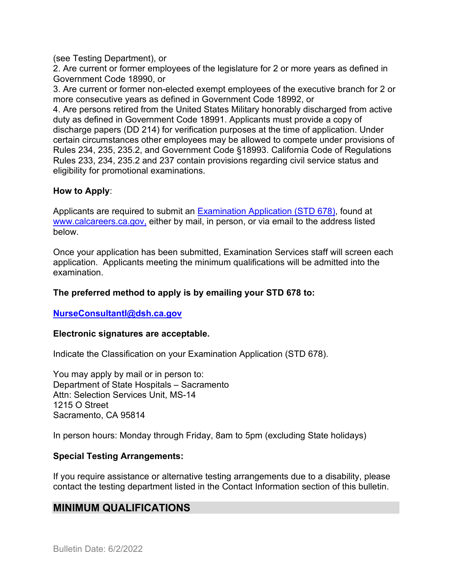(see Testing Department), or

2. Are current or former employees of the legislature for 2 or more years as defined in Government Code 18990, or

3. Are current or former non-elected exempt employees of the executive branch for 2 or more consecutive years as defined in Government Code 18992, or

4. Are persons retired from the United States Military honorably discharged from active duty as defined in Government Code 18991. Applicants must provide a copy of discharge papers (DD 214) for verification purposes at the time of application. Under certain circumstances other employees may be allowed to compete under provisions of Rules 234, 235, 235.2, and Government Code §18993. California Code of Regulations Rules 233, 234, 235.2 and 237 contain provisions regarding civil service status and eligibility for promotional examinations.

#### **How to Apply**:

Applicants are required to submit an [Examination Application \(STD 678\),](https://jobs.ca.gov/pdf/std678.pdf) found at [www.calcareers.ca.gov,](http://www.calcareers.ca.gov/) either by mail, in person, or via email to the address listed below.

Once your application has been submitted, Examination Services staff will screen each application. Applicants meeting the minimum qualifications will be admitted into the examination.

#### **The preferred method to apply is by emailing your STD 678 to:**

**[NurseConsultantI@dsh.ca.gov](mailto:NurseConsultantI@dsh.ca.gov)**

#### **Electronic signatures are acceptable.**

Indicate the Classification on your Examination Application (STD 678).

You may apply by mail or in person to: Department of State Hospitals – Sacramento Attn: Selection Services Unit, MS-14 1215 O Street Sacramento, CA 95814

In person hours: Monday through Friday, 8am to 5pm (excluding State holidays)

#### **Special Testing Arrangements:**

If you require assistance or alternative testing arrangements due to a disability, please contact the testing department listed in the Contact Information section of this bulletin.

## **MINIMUM QUALIFICATIONS**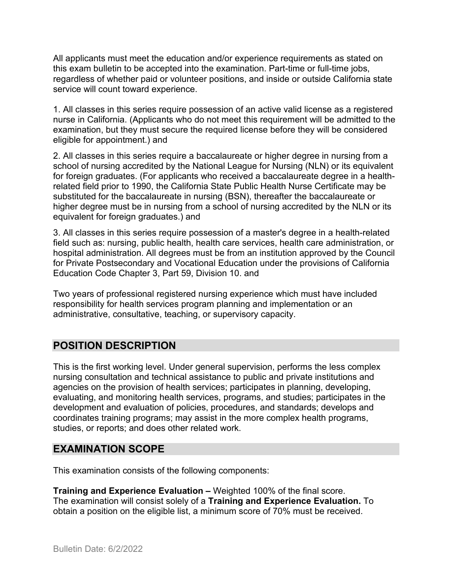All applicants must meet the education and/or experience requirements as stated on this exam bulletin to be accepted into the examination. Part-time or full-time jobs, regardless of whether paid or volunteer positions, and inside or outside California state service will count toward experience.

1. All classes in this series require possession of an active valid license as a registered nurse in California. (Applicants who do not meet this requirement will be admitted to the examination, but they must secure the required license before they will be considered eligible for appointment.) and

2. All classes in this series require a baccalaureate or higher degree in nursing from a school of nursing accredited by the National League for Nursing (NLN) or its equivalent for foreign graduates. (For applicants who received a baccalaureate degree in a healthrelated field prior to 1990, the California State Public Health Nurse Certificate may be substituted for the baccalaureate in nursing (BSN), thereafter the baccalaureate or higher degree must be in nursing from a school of nursing accredited by the NLN or its equivalent for foreign graduates.) and

3. All classes in this series require possession of a master's degree in a health-related field such as: nursing, public health, health care services, health care administration, or hospital administration. All degrees must be from an institution approved by the Council for Private Postsecondary and Vocational Education under the provisions of California Education Code Chapter 3, Part 59, Division 10. and

Two years of professional registered nursing experience which must have included responsibility for health services program planning and implementation or an administrative, consultative, teaching, or supervisory capacity.

## **POSITION DESCRIPTION**

This is the first working level. Under general supervision, performs the less complex nursing consultation and technical assistance to public and private institutions and agencies on the provision of health services; participates in planning, developing, evaluating, and monitoring health services, programs, and studies; participates in the development and evaluation of policies, procedures, and standards; develops and coordinates training programs; may assist in the more complex health programs, studies, or reports; and does other related work.

## **EXAMINATION SCOPE**

This examination consists of the following components:

**Training and Experience Evaluation –** Weighted 100% of the final score. The examination will consist solely of a **Training and Experience Evaluation.** To obtain a position on the eligible list, a minimum score of 70% must be received.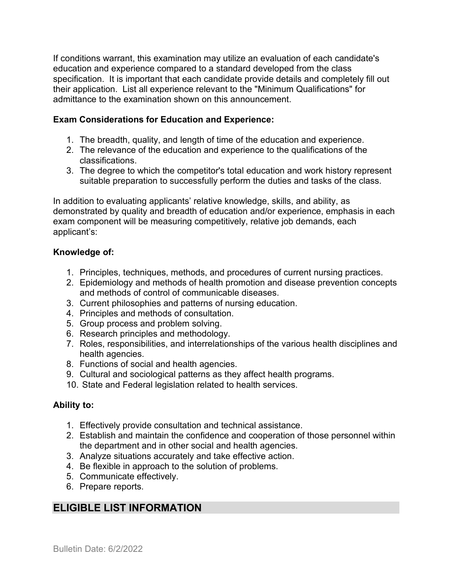If conditions warrant, this examination may utilize an evaluation of each candidate's education and experience compared to a standard developed from the class specification. It is important that each candidate provide details and completely fill out their application. List all experience relevant to the "Minimum Qualifications" for admittance to the examination shown on this announcement.

#### **Exam Considerations for Education and Experience:**

- 1. The breadth, quality, and length of time of the education and experience.
- 2. The relevance of the education and experience to the qualifications of the classifications.
- 3. The degree to which the competitor's total education and work history represent suitable preparation to successfully perform the duties and tasks of the class.

In addition to evaluating applicants' relative knowledge, skills, and ability, as demonstrated by quality and breadth of education and/or experience, emphasis in each exam component will be measuring competitively, relative job demands, each applicant's:

#### **Knowledge of:**

- 1. Principles, techniques, methods, and procedures of current nursing practices.
- 2. Epidemiology and methods of health promotion and disease prevention concepts and methods of control of communicable diseases.
- 3. Current philosophies and patterns of nursing education.
- 4. Principles and methods of consultation.
- 5. Group process and problem solving.
- 6. Research principles and methodology.
- 7. Roles, responsibilities, and interrelationships of the various health disciplines and health agencies.
- 8. Functions of social and health agencies.
- 9. Cultural and sociological patterns as they affect health programs.
- 10. State and Federal legislation related to health services.

#### **Ability to:**

- 1. Effectively provide consultation and technical assistance.
- 2. Establish and maintain the confidence and cooperation of those personnel within the department and in other social and health agencies.
- 3. Analyze situations accurately and take effective action.
- 4. Be flexible in approach to the solution of problems.
- 5. Communicate effectively.
- 6. Prepare reports.

## **ELIGIBLE LIST INFORMATION**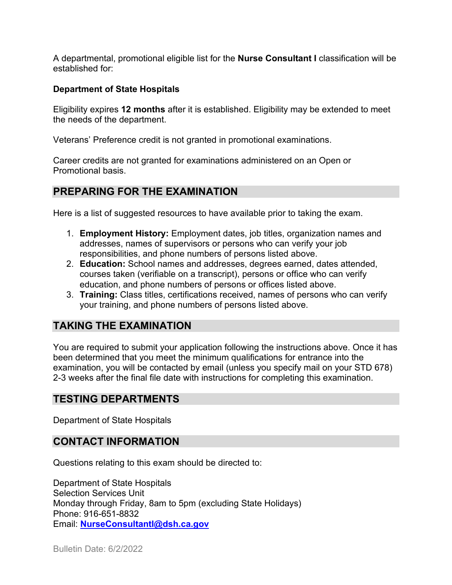A departmental, promotional eligible list for the **Nurse Consultant I** classification will be established for:

#### **Department of State Hospitals**

Eligibility expires **12 months** after it is established. Eligibility may be extended to meet the needs of the department.

Veterans' Preference credit is not granted in promotional examinations.

Career credits are not granted for examinations administered on an Open or Promotional basis.

## **PREPARING FOR THE EXAMINATION**

Here is a list of suggested resources to have available prior to taking the exam.

- 1. **Employment History:** Employment dates, job titles, organization names and addresses, names of supervisors or persons who can verify your job responsibilities, and phone numbers of persons listed above.
- 2. **Education:** School names and addresses, degrees earned, dates attended, courses taken (verifiable on a transcript), persons or office who can verify education, and phone numbers of persons or offices listed above.
- 3. **Training:** Class titles, certifications received, names of persons who can verify your training, and phone numbers of persons listed above.

## **TAKING THE EXAMINATION**

You are required to submit your application following the instructions above. Once it has been determined that you meet the minimum qualifications for entrance into the examination, you will be contacted by email (unless you specify mail on your STD 678) 2-3 weeks after the final file date with instructions for completing this examination.

## **TESTING DEPARTMENTS**

Department of State Hospitals

## **CONTACT INFORMATION**

Questions relating to this exam should be directed to:

Department of State Hospitals Selection Services Unit Monday through Friday, 8am to 5pm (excluding State Holidays) Phone: 916-651-8832 Email: **[NurseConsultantI@dsh.ca.gov](mailto:NurseConsultantI@dsh.ca.gov)**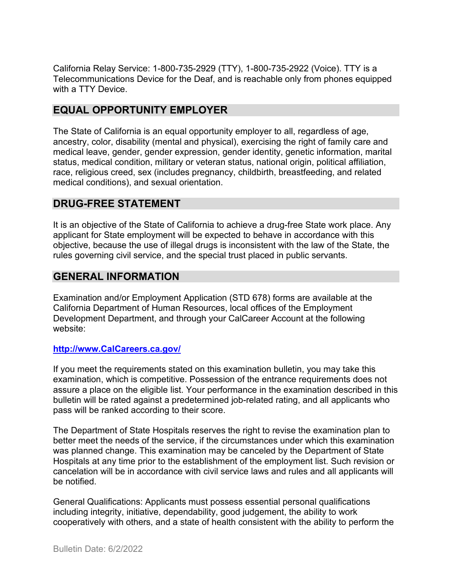California Relay Service: 1-800-735-2929 (TTY), 1-800-735-2922 (Voice). TTY is a Telecommunications Device for the Deaf, and is reachable only from phones equipped with a TTY Device.

## **EQUAL OPPORTUNITY EMPLOYER**

The State of California is an equal opportunity employer to all, regardless of age, ancestry, color, disability (mental and physical), exercising the right of family care and medical leave, gender, gender expression, gender identity, genetic information, marital status, medical condition, military or veteran status, national origin, political affiliation, race, religious creed, sex (includes pregnancy, childbirth, breastfeeding, and related medical conditions), and sexual orientation.

## **DRUG-FREE STATEMENT**

It is an objective of the State of California to achieve a drug-free State work place. Any applicant for State employment will be expected to behave in accordance with this objective, because the use of illegal drugs is inconsistent with the law of the State, the rules governing civil service, and the special trust placed in public servants.

## **GENERAL INFORMATION**

Examination and/or Employment Application (STD 678) forms are available at the California Department of Human Resources, local offices of the Employment Development Department, and through your CalCareer Account at the following website:

#### **[http://www.CalCareers.ca.gov/](http://www.calcareers.ca.gov/)**

If you meet the requirements stated on this examination bulletin, you may take this examination, which is competitive. Possession of the entrance requirements does not assure a place on the eligible list. Your performance in the examination described in this bulletin will be rated against a predetermined job-related rating, and all applicants who pass will be ranked according to their score.

The Department of State Hospitals reserves the right to revise the examination plan to better meet the needs of the service, if the circumstances under which this examination was planned change. This examination may be canceled by the Department of State Hospitals at any time prior to the establishment of the employment list. Such revision or cancelation will be in accordance with civil service laws and rules and all applicants will be notified.

General Qualifications: Applicants must possess essential personal qualifications including integrity, initiative, dependability, good judgement, the ability to work cooperatively with others, and a state of health consistent with the ability to perform the